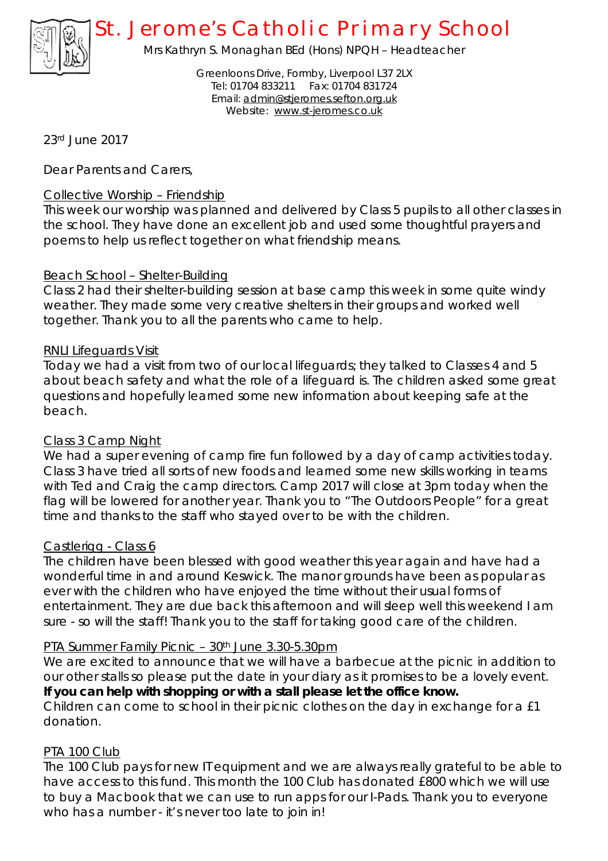

# *St. Jerome's Catholic Primary School*

Mrs Kathryn S. Monaghan BEd (Hons) NPQH – Headteacher

Greenloons Drive, Formby, Liverpool L37 2LX Tel: 01704 833211 Fax: 01704 831724 Email: [admin@stjeromes.sefton.org.uk](mailto:admin@stjeromes.sefton.org.uk) Website: [www.st-jeromes.co.uk](http://www.st-jeromes.co.uk)

23rd June 2017

Dear Parents and Carers,

#### Collective Worship – Friendship

This week our worship was planned and delivered by Class 5 pupils to all other classes in the school. They have done an excellent job and used some thoughtful prayers and poems to help us reflect together on what friendship means.

### Beach School – Shelter-Building

Class 2 had their shelter-building session at base camp this week in some quite windy weather. They made some very creative shelters in their groups and worked well together. Thank you to all the parents who came to help.

#### RNLI Lifeguards Visit

Today we had a visit from two of our local lifeguards; they talked to Classes 4 and 5 about beach safety and what the role of a lifeguard is. The children asked some great questions and hopefully learned some new information about keeping safe at the beach.

#### Class 3 Camp Night

We had a super evening of camp fire fun followed by a day of camp activities today. Class 3 have tried all sorts of new foods and learned some new skills working in teams with Ted and Craig the camp directors. Camp 2017 will close at 3pm today when the flag will be lowered for another year. Thank you to "The Outdoors People" for a great time and thanks to the staff who stayed over to be with the children.

#### Castlerigg - Class 6

The children have been blessed with good weather this year again and have had a wonderful time in and around Keswick. The manor grounds have been as popular as ever with the children who have enjoyed the time without their usual forms of entertainment. They are due back this afternoon and will sleep well this weekend I am sure - so will the staff! Thank you to the staff for taking good care of the children.

#### PTA Summer Family Picnic - 30<sup>th</sup> June 3.30-5.30pm

We are excited to announce that we will have a barbecue at the picnic in addition to our other stalls so please put the date in your diary as it promises to be a lovely event. **If you can help with shopping or with a stall please let the office know.**  Children can come to school in their picnic clothes on the day in exchange for a £1 donation.

## PTA 100 Club

The 100 Club pays for new IT equipment and we are always really grateful to be able to have access to this fund. This month the 100 Club has donated £800 which we will use to buy a Macbook that we can use to run apps for our I-Pads. Thank you to everyone who has a number - it's never too late to join in!